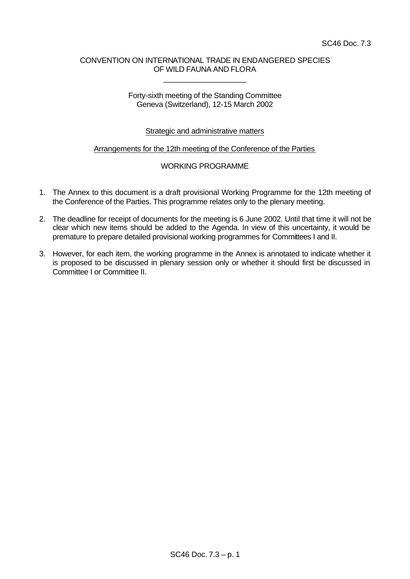## CONVENTION ON INTERNATIONAL TRADE IN ENDANGERED SPECIES OF WILD FAUNA AND FLORA

\_\_\_\_\_\_\_\_\_\_\_\_\_\_\_\_\_\_\_\_

#### Forty-sixth meeting of the Standing Committee Geneva (Switzerland), 12-15 March 2002

# Strategic and administrative matters

## Arrangements for the 12th meeting of the Conference of the Parties

## WORKING PROGRAMME

- 1. The Annex to this document is a draft provisional Working Programme for the 12th meeting of the Conference of the Parties. This programme relates only to the plenary meeting.
- 2. The deadline for receipt of documents for the meeting is 6 June 2002. Until that time it will not be clear which new items should be added to the Agenda. In view of this uncertainty, it would be premature to prepare detailed provisional working programmes for Committees I and II.
- 3. However, for each item, the working programme in the Annex is annotated to indicate whether it is proposed to be discussed in plenary session only or whether it should first be discussed in Committee I or Committee II.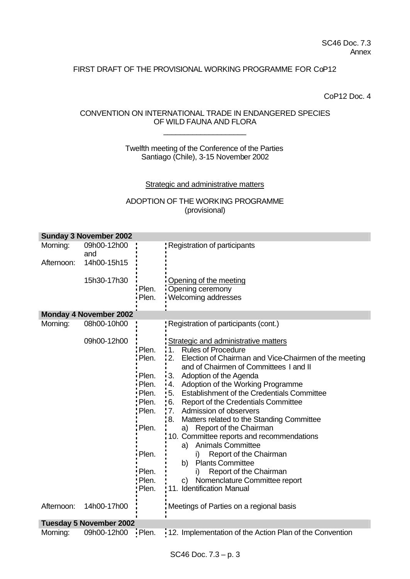# FIRST DRAFT OF THE PROVISIONAL WORKING PROGRAMME FOR CoP12

CoP12 Doc. 4

# CONVENTION ON INTERNATIONAL TRADE IN ENDANGERED SPECIES OF WILD FAUNA AND FLORA

\_\_\_\_\_\_\_\_\_\_\_\_\_\_\_\_\_\_\_\_

## Twelfth meeting of the Conference of the Parties Santiago (Chile), 3-15 November 2002

#### Strategic and administrative matters

# ADOPTION OF THE WORKING PROGRAMME (provisional)

| <b>Sunday 3 November 2002</b>  |                               |                                                                                                          |                                                                                                                                                                                                                                                                                                                                                                                                                                                                                                                                                                                                                                                                                                                                                                   |  |  |  |  |
|--------------------------------|-------------------------------|----------------------------------------------------------------------------------------------------------|-------------------------------------------------------------------------------------------------------------------------------------------------------------------------------------------------------------------------------------------------------------------------------------------------------------------------------------------------------------------------------------------------------------------------------------------------------------------------------------------------------------------------------------------------------------------------------------------------------------------------------------------------------------------------------------------------------------------------------------------------------------------|--|--|--|--|
| Morning:                       | 09h00-12h00<br>and            |                                                                                                          | : Registration of participants                                                                                                                                                                                                                                                                                                                                                                                                                                                                                                                                                                                                                                                                                                                                    |  |  |  |  |
| Afternoon:                     | 14h00-15h15                   |                                                                                                          |                                                                                                                                                                                                                                                                                                                                                                                                                                                                                                                                                                                                                                                                                                                                                                   |  |  |  |  |
|                                | 15h30-17h30                   | Plen.<br>Plen.                                                                                           | Opening of the meeting<br>Opening ceremony<br>Welcoming addresses                                                                                                                                                                                                                                                                                                                                                                                                                                                                                                                                                                                                                                                                                                 |  |  |  |  |
|                                | <b>Monday 4 November 2002</b> |                                                                                                          |                                                                                                                                                                                                                                                                                                                                                                                                                                                                                                                                                                                                                                                                                                                                                                   |  |  |  |  |
| Morning:                       | 08h00-10h00                   |                                                                                                          | Registration of participants (cont.)                                                                                                                                                                                                                                                                                                                                                                                                                                                                                                                                                                                                                                                                                                                              |  |  |  |  |
|                                | 09h00-12h00                   | Plen.<br>Plen.<br>Plen.<br>Plen.<br>Plen.<br>Plen.<br>Plen.<br>Plen.<br>Plen.<br>Plen.<br>Plen.<br>Plen. | <b>Strategic and administrative matters</b><br>11.<br><b>Rules of Procedure</b><br>12.<br>Election of Chairman and Vice-Chairmen of the meeting<br>and of Chairmen of Committees I and II<br>3. Adoption of the Agenda<br>Adoption of the Working Programme<br>$\cdot$ 4.<br>'5. Establishment of the Credentials Committee<br><b>Report of the Credentials Committee</b><br>$\frac{1}{2}6.$<br>'7. Admission of observers<br>:8.<br>Matters related to the Standing Committee<br>a) Report of the Chairman<br>10. Committee reports and recommendations<br><b>Animals Committee</b><br>a)<br>Report of the Chairman<br>i)<br>b)<br><b>Plants Committee</b><br>Report of the Chairman<br>i)<br>Nomenclature Committee report<br>C)<br>: 11. Identification Manual |  |  |  |  |
| Afternoon:                     | 14h00-17h00                   |                                                                                                          | Meetings of Parties on a regional basis                                                                                                                                                                                                                                                                                                                                                                                                                                                                                                                                                                                                                                                                                                                           |  |  |  |  |
| <b>Tuesday 5 November 2002</b> |                               |                                                                                                          |                                                                                                                                                                                                                                                                                                                                                                                                                                                                                                                                                                                                                                                                                                                                                                   |  |  |  |  |
| Morning:                       | 09h00-12h00                   | <b>Plen.</b>                                                                                             | 12. Implementation of the Action Plan of the Convention                                                                                                                                                                                                                                                                                                                                                                                                                                                                                                                                                                                                                                                                                                           |  |  |  |  |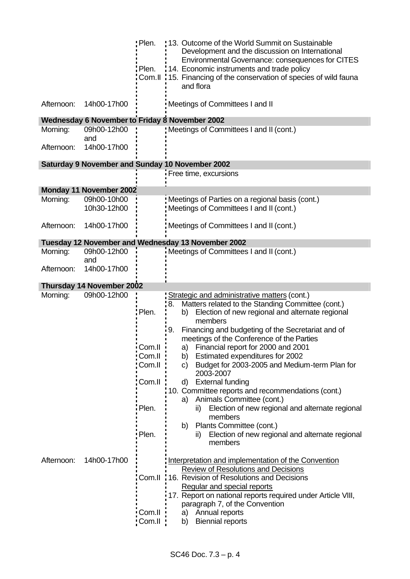|            |                                | : Plen.                                                  | !13. Outcome of the World Summit on Sustainable<br>Development and the discussion on International                                                                                                                                                                                                                                                                                                                                                                                                                                                                        |
|------------|--------------------------------|----------------------------------------------------------|---------------------------------------------------------------------------------------------------------------------------------------------------------------------------------------------------------------------------------------------------------------------------------------------------------------------------------------------------------------------------------------------------------------------------------------------------------------------------------------------------------------------------------------------------------------------------|
|            |                                |                                                          | <b>Environmental Governance: consequences for CITES</b>                                                                                                                                                                                                                                                                                                                                                                                                                                                                                                                   |
|            |                                | Plen.                                                    | 14. Economic instruments and trade policy<br>Com.II :15. Financing of the conservation of species of wild fauna                                                                                                                                                                                                                                                                                                                                                                                                                                                           |
|            |                                |                                                          | and flora                                                                                                                                                                                                                                                                                                                                                                                                                                                                                                                                                                 |
| Afternoon: | 14h00-17h00                    |                                                          | Meetings of Committees I and II                                                                                                                                                                                                                                                                                                                                                                                                                                                                                                                                           |
|            |                                |                                                          | Wednesday 6 November to Friday 8 November 2002                                                                                                                                                                                                                                                                                                                                                                                                                                                                                                                            |
| Morning:   | 09h00-12h00<br>and             |                                                          | Meetings of Committees I and II (cont.)                                                                                                                                                                                                                                                                                                                                                                                                                                                                                                                                   |
| Afternoon: | 14h00-17h00                    |                                                          |                                                                                                                                                                                                                                                                                                                                                                                                                                                                                                                                                                           |
|            |                                |                                                          | <b>Saturday 9 November and Sunday 10 November 2002</b>                                                                                                                                                                                                                                                                                                                                                                                                                                                                                                                    |
|            |                                |                                                          | Free time, excursions                                                                                                                                                                                                                                                                                                                                                                                                                                                                                                                                                     |
|            | <b>Monday 11 November 2002</b> |                                                          |                                                                                                                                                                                                                                                                                                                                                                                                                                                                                                                                                                           |
| Morning:   | 09h00-10h00                    |                                                          | Meetings of Parties on a regional basis (cont.)                                                                                                                                                                                                                                                                                                                                                                                                                                                                                                                           |
|            | 10h30-12h00                    |                                                          | Meetings of Committees I and II (cont.)                                                                                                                                                                                                                                                                                                                                                                                                                                                                                                                                   |
| Afternoon: | 14h00-17h00                    |                                                          | Meetings of Committees I and II (cont.)                                                                                                                                                                                                                                                                                                                                                                                                                                                                                                                                   |
|            |                                |                                                          | Tuesday 12 November and Wednesday 13 November 2002                                                                                                                                                                                                                                                                                                                                                                                                                                                                                                                        |
| Morning:   | 09h00-12h00<br>and             |                                                          | Meetings of Committees I and II (cont.)                                                                                                                                                                                                                                                                                                                                                                                                                                                                                                                                   |
| Afternoon: | 14h00-17h00                    |                                                          |                                                                                                                                                                                                                                                                                                                                                                                                                                                                                                                                                                           |
|            | Thursday 14 November 2002      |                                                          |                                                                                                                                                                                                                                                                                                                                                                                                                                                                                                                                                                           |
| Morning:   | 09h00-12h00                    | Plen.                                                    | Strategic and administrative matters (cont.)<br>Matters related to the Standing Committee (cont.)<br>:8.<br>Election of new regional and alternate regional<br>b)                                                                                                                                                                                                                                                                                                                                                                                                         |
|            |                                | Com.II<br>Com.II<br>Com.II :<br>Com.II<br>Plen.<br>Plen. | members<br>: 9.<br>Financing and budgeting of the Secretariat and of<br>meetings of the Conference of the Parties<br>a) Financial report for 2000 and 2001<br>Estimated expenditures for 2002<br>b)<br>Budget for 2003-2005 and Medium-term Plan for<br>C)<br>2003-2007<br><b>External funding</b><br>d)<br>10. Committee reports and recommendations (cont.)<br>a) Animals Committee (cont.)<br>Election of new regional and alternate regional<br>ii)<br>members<br>Plants Committee (cont.)<br>b)<br>Election of new regional and alternate regional<br>ii)<br>members |
| Afternoon: | 14h00-17h00                    | Com.II<br>Com.II                                         | Interpretation and implementation of the Convention<br><b>Review of Resolutions and Decisions</b><br>Com.II, 16. Revision of Resolutions and Decisions<br>Regular and special reports<br>17. Report on national reports required under Article VIII,<br>paragraph 7, of the Convention<br>Annual reports<br>a)<br><b>Biennial reports</b><br>b)                                                                                                                                                                                                                           |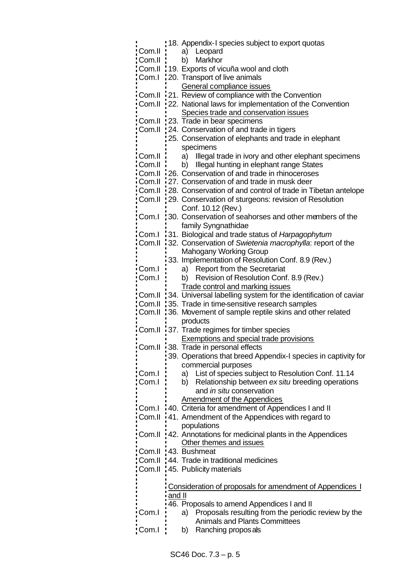|        |        | 18. Appendix-I species subject to export quotas                   |
|--------|--------|-------------------------------------------------------------------|
| Com.II |        | Leopard<br>a)                                                     |
| Com.II |        | Markhor<br>b)                                                     |
| Com.II |        | 19. Exports of vicuña wool and cloth                              |
| Com.I  |        | 20. Transport of live animals                                     |
|        |        | General compliance issues                                         |
| Com.II |        | 21. Review of compliance with the Convention                      |
| Com.II |        | 22. National laws for implementation of the Convention            |
|        |        | Species trade and conservation issues                             |
| Com.II |        | 23. Trade in bear specimens                                       |
| Com.II |        | 24. Conservation of and trade in tigers                           |
|        |        |                                                                   |
|        |        | 25. Conservation of elephants and trade in elephant               |
|        |        | specimens                                                         |
| Com.II |        | Illegal trade in ivory and other elephant specimens<br>a)         |
| Com.II |        | Illegal hunting in elephant range States<br>b)                    |
| Com.II |        | 26. Conservation of and trade in rhinoceroses                     |
| Com.II |        | 27. Conservation of and trade in musk deer                        |
| Com.II |        | 28. Conservation of and control of trade in Tibetan antelope      |
| Com.II |        | 29. Conservation of sturgeons: revision of Resolution             |
|        |        | Conf. 10.12 (Rev.)                                                |
| Com.I  |        | 30. Conservation of seahorses and other members of the            |
|        |        | family Syngnathidae                                               |
| Com.I  |        | 31. Biological and trade status of Harpagophytum                  |
| Com.II |        | 32. Conservation of Swietenia macrophylla: report of the          |
|        |        | <b>Mahogany Working Group</b>                                     |
|        |        | 33. Implementation of Resolution Conf. 8.9 (Rev.)                 |
| Com.I  |        | a) Report from the Secretariat                                    |
| Com.I  |        | Revision of Resolution Conf. 8.9 (Rev.)<br>b)                     |
|        |        | <b>Trade control and marking issues</b>                           |
|        |        |                                                                   |
| Com.II |        |                                                                   |
|        |        | 34. Universal labelling system for the identification of caviar   |
| Com.II |        | 35. Trade in time-sensitive research samples                      |
| Com.II |        | 36. Movement of sample reptile skins and other related            |
|        |        | products                                                          |
| Com.II |        | 37. Trade regimes for timber species                              |
|        |        | <b>Exemptions and special trade provisions</b>                    |
| Com.II |        | 38. Trade in personal effects                                     |
|        |        | 39. Operations that breed Appendix-I species in captivity for     |
|        |        | commercial purposes                                               |
| Com.I  |        | List of species subject to Resolution Conf. 11.14<br>a)           |
| Com.I  |        | Relationship between ex situ breeding operations<br>b)            |
|        |        | and in situ conservation                                          |
|        |        | <b>Amendment of the Appendices</b>                                |
| Com.I  |        | 40. Criteria for amendment of Appendices I and II                 |
| Com.II |        | 41. Amendment of the Appendices with regard to                    |
|        |        | populations                                                       |
| Com.II |        | 42. Annotations for medicinal plants in the Appendices            |
|        |        | Other themes and issues                                           |
| Com.II |        | 43. Bushmeat                                                      |
| Com.II |        | 44. Trade in traditional medicines                                |
| Com.II |        | 45. Publicity materials                                           |
|        |        |                                                                   |
|        |        | Consideration of proposals for amendment of Appendices I          |
|        | and II |                                                                   |
|        |        | 46. Proposals to amend Appendices I and II                        |
| Com.I  |        | Proposals resulting from the periodic review by the<br>a)         |
| Com.l  |        | <b>Animals and Plants Committees</b><br>Ranching propos als<br>b) |